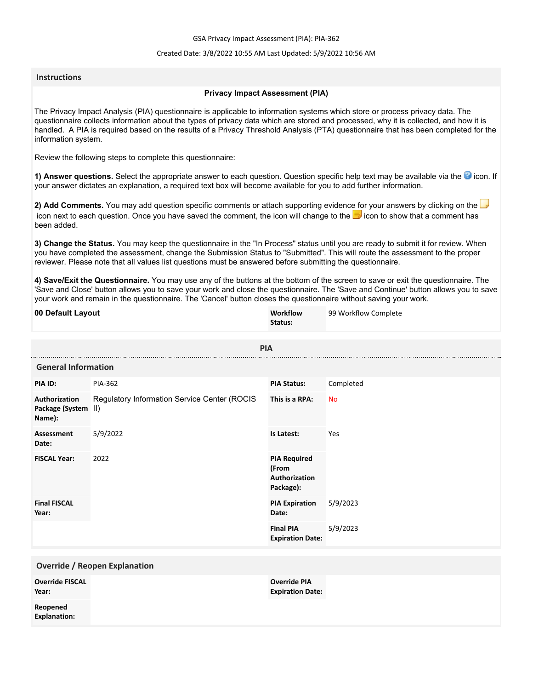GSA Privacy Impact Assessment (PIA): PIA-362

### Created Date: 3/8/2022 10:55 AM Last Updated: 5/9/2022 10:56 AM

### **Instructions**

#### **Privacy Impact Assessment (PIA)**

The Privacy Impact Analysis (PIA) questionnaire is applicable to information systems which store or process privacy data. The questionnaire collects information about the types of privacy data which are stored and processed, why it is collected, and how it is handled. A PIA is required based on the results of a Privacy Threshold Analysis (PTA) questionnaire that has been completed for the information system.

Review the following steps to complete this questionnaire:

1) Answer questions. Select the appropriate answer to each question. Question specific help text may be available via the <sup>3</sup> icon. If your answer dictates an explanation, a required text box will become available for you to add further information.

**2) Add Comments.** You may add question specific comments or attach supporting evidence for your answers by clicking on the icon next to each question. Once you have saved the comment, the icon will change to the **i** icon to show that a comment has been added.

**3) Change the Status.** You may keep the questionnaire in the "In Process" status until you are ready to submit it for review. When you have completed the assessment, change the Submission Status to "Submitted". This will route the assessment to the proper reviewer. Please note that all values list questions must be answered before submitting the questionnaire.

**4) Save/Exit the Questionnaire.** You may use any of the buttons at the bottom of the screen to save or exit the questionnaire. The 'Save and Close' button allows you to save your work and close the questionnaire. The 'Save and Continue' button allows you to save your work and remain in the questionnaire. The 'Cancel' button closes the questionnaire without saving your work.

| 00 Default Layout                              |                                              | Workflow<br>Status:                                        | 99 Workflow Complete |  |  |
|------------------------------------------------|----------------------------------------------|------------------------------------------------------------|----------------------|--|--|
|                                                | <b>PIA</b>                                   |                                                            |                      |  |  |
| <b>General Information</b>                     |                                              |                                                            |                      |  |  |
| PIA ID:                                        | <b>PIA-362</b>                               | <b>PIA Status:</b>                                         | Completed            |  |  |
| Authorization<br>Package (System II)<br>Name): | Regulatory Information Service Center (ROCIS | This is a RPA:                                             | <b>No</b>            |  |  |
| Assessment<br>Date:                            | 5/9/2022                                     | Is Latest:                                                 | Yes                  |  |  |
| <b>FISCAL Year:</b>                            | 2022                                         | <b>PIA Required</b><br>(From<br>Authorization<br>Package): |                      |  |  |
| <b>Final FISCAL</b><br>Year:                   |                                              | <b>PIA Expiration</b><br>Date:                             | 5/9/2023             |  |  |
|                                                |                                              | <b>Final PIA</b><br><b>Expiration Date:</b>                | 5/9/2023             |  |  |
| <b>Override / Reopen Explanation</b>           |                                              |                                                            |                      |  |  |
| <b>Override FISCAL</b><br>Year:                |                                              | <b>Override PIA</b><br><b>Expiration Date:</b>             |                      |  |  |
| Reopened<br><b>Explanation:</b>                |                                              |                                                            |                      |  |  |
|                                                |                                              |                                                            |                      |  |  |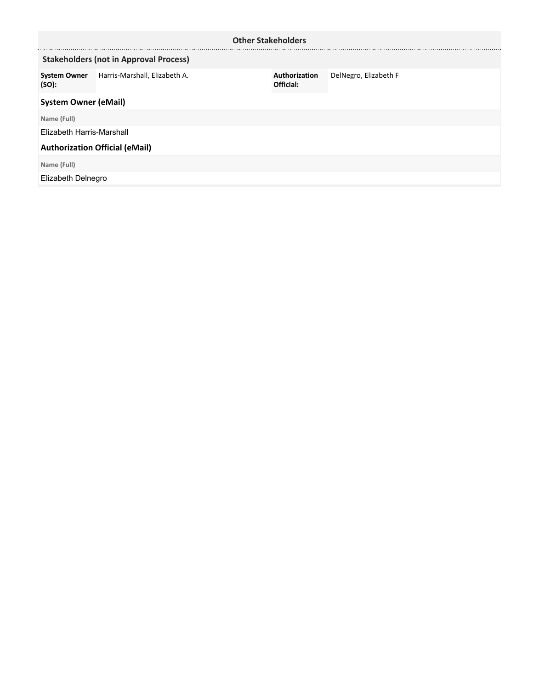| <b>Other Stakeholders</b>                     |                               |                            |                       |  |
|-----------------------------------------------|-------------------------------|----------------------------|-----------------------|--|
| <b>Stakeholders (not in Approval Process)</b> |                               |                            |                       |  |
| <b>System Owner</b><br>(SO):                  | Harris-Marshall, Elizabeth A. | Authorization<br>Official: | DelNegro, Elizabeth F |  |
| <b>System Owner (eMail)</b>                   |                               |                            |                       |  |
| Name (Full)                                   |                               |                            |                       |  |
| Elizabeth Harris-Marshall                     |                               |                            |                       |  |
| <b>Authorization Official (eMail)</b>         |                               |                            |                       |  |
| Name (Full)                                   |                               |                            |                       |  |
| Elizabeth Delnegro                            |                               |                            |                       |  |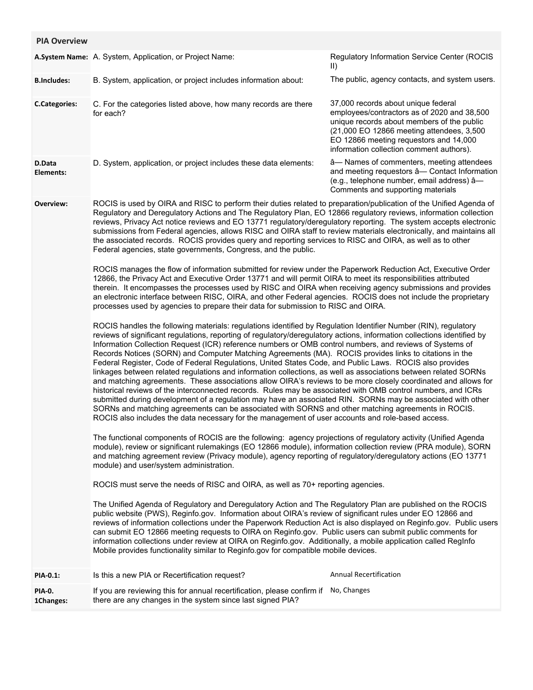| <b>PIA Overview</b>  |                                                                                                                                                                                                                                                                                                                                                                                                                                                                                                                                                                                                                                                                                                                                                                                                                                                                                                                                                                                                                                                                                                                                                                                                                                                                                                                                                                                                                                                                        |                                                                                                                                                                                                                                                                     |
|----------------------|------------------------------------------------------------------------------------------------------------------------------------------------------------------------------------------------------------------------------------------------------------------------------------------------------------------------------------------------------------------------------------------------------------------------------------------------------------------------------------------------------------------------------------------------------------------------------------------------------------------------------------------------------------------------------------------------------------------------------------------------------------------------------------------------------------------------------------------------------------------------------------------------------------------------------------------------------------------------------------------------------------------------------------------------------------------------------------------------------------------------------------------------------------------------------------------------------------------------------------------------------------------------------------------------------------------------------------------------------------------------------------------------------------------------------------------------------------------------|---------------------------------------------------------------------------------------------------------------------------------------------------------------------------------------------------------------------------------------------------------------------|
|                      | A.System Name: A. System, Application, or Project Name:                                                                                                                                                                                                                                                                                                                                                                                                                                                                                                                                                                                                                                                                                                                                                                                                                                                                                                                                                                                                                                                                                                                                                                                                                                                                                                                                                                                                                | Regulatory Information Service Center (ROCIS<br>$\vert \vert$                                                                                                                                                                                                       |
| <b>B.Includes:</b>   | B. System, application, or project includes information about:                                                                                                                                                                                                                                                                                                                                                                                                                                                                                                                                                                                                                                                                                                                                                                                                                                                                                                                                                                                                                                                                                                                                                                                                                                                                                                                                                                                                         | The public, agency contacts, and system users.                                                                                                                                                                                                                      |
| <b>C.Categories:</b> | C. For the categories listed above, how many records are there<br>for each?                                                                                                                                                                                                                                                                                                                                                                                                                                                                                                                                                                                                                                                                                                                                                                                                                                                                                                                                                                                                                                                                                                                                                                                                                                                                                                                                                                                            | 37,000 records about unique federal<br>employees/contractors as of 2020 and 38,500<br>unique records about members of the public<br>(21,000 EO 12866 meeting attendees, 3,500<br>EO 12866 meeting requestors and 14,000<br>information collection comment authors). |
| D.Data<br>Elements:  | D. System, application, or project includes these data elements:                                                                                                                                                                                                                                                                                                                                                                                                                                                                                                                                                                                                                                                                                                                                                                                                                                                                                                                                                                                                                                                                                                                                                                                                                                                                                                                                                                                                       | â-Names of commenters, meeting attendees<br>and meeting requestors â- Contact Information<br>(e.g., telephone number, email address) â-<br>Comments and supporting materials                                                                                        |
| Overview:            | ROCIS is used by OIRA and RISC to perform their duties related to preparation/publication of the Unified Agenda of<br>Regulatory and Deregulatory Actions and The Regulatory Plan, EO 12866 regulatory reviews, information collection<br>reviews, Privacy Act notice reviews and EO 13771 regulatory/deregulatory reporting. The system accepts electronic<br>submissions from Federal agencies, allows RISC and OIRA staff to review materials electronically, and maintains all<br>the associated records. ROCIS provides query and reporting services to RISC and OIRA, as well as to other<br>Federal agencies, state governments, Congress, and the public.<br>ROCIS manages the flow of information submitted for review under the Paperwork Reduction Act, Executive Order<br>12866, the Privacy Act and Executive Order 13771 and will permit OIRA to meet its responsibilities attributed<br>therein. It encompasses the processes used by RISC and OIRA when receiving agency submissions and provides<br>an electronic interface between RISC, OIRA, and other Federal agencies. ROCIS does not include the proprietary<br>processes used by agencies to prepare their data for submission to RISC and OIRA.<br>ROCIS handles the following materials: regulations identified by Regulation Identifier Number (RIN), regulatory<br>reviews of significant regulations, reporting of regulatory/deregulatory actions, information collections identified by |                                                                                                                                                                                                                                                                     |
|                      | Information Collection Request (ICR) reference numbers or OMB control numbers, and reviews of Systems of<br>Records Notices (SORN) and Computer Matching Agreements (MA). ROCIS provides links to citations in the<br>Federal Register, Code of Federal Regulations, United States Code, and Public Laws. ROCIS also provides<br>linkages between related regulations and information collections, as well as associations between related SORNs<br>and matching agreements. These associations allow OIRA's reviews to be more closely coordinated and allows for<br>historical reviews of the interconnected records. Rules may be associated with OMB control numbers, and ICRs<br>submitted during development of a regulation may have an associated RIN. SORNs may be associated with other<br>SORNs and matching agreements can be associated with SORNS and other matching agreements in ROCIS.<br>ROCIS also includes the data necessary for the management of user accounts and role-based access.<br>The functional components of ROCIS are the following: agency projections of regulatory activity (Unified Agenda<br>module), review or significant rulemakings (EO 12866 module), information collection review (PRA module), SORN                                                                                                                                                                                                                      |                                                                                                                                                                                                                                                                     |
|                      | and matching agreement review (Privacy module), agency reporting of regulatory/deregulatory actions (EO 13771<br>module) and user/system administration.                                                                                                                                                                                                                                                                                                                                                                                                                                                                                                                                                                                                                                                                                                                                                                                                                                                                                                                                                                                                                                                                                                                                                                                                                                                                                                               |                                                                                                                                                                                                                                                                     |
|                      | ROCIS must serve the needs of RISC and OIRA, as well as 70+ reporting agencies.                                                                                                                                                                                                                                                                                                                                                                                                                                                                                                                                                                                                                                                                                                                                                                                                                                                                                                                                                                                                                                                                                                                                                                                                                                                                                                                                                                                        |                                                                                                                                                                                                                                                                     |
|                      | The Unified Agenda of Regulatory and Deregulatory Action and The Regulatory Plan are published on the ROCIS<br>public website (PWS), Reginfo.gov. Information about OIRA's review of significant rules under EO 12866 and<br>reviews of information collections under the Paperwork Reduction Act is also displayed on Reginfo.gov. Public users<br>can submit EO 12866 meeting requests to OIRA on Reginfo.gov. Public users can submit public comments for<br>information collections under review at OIRA on Reginfo.gov. Additionally, a mobile application called RegInfo<br>Mobile provides functionality similar to Reginfo.gov for compatible mobile devices.                                                                                                                                                                                                                                                                                                                                                                                                                                                                                                                                                                                                                                                                                                                                                                                                  |                                                                                                                                                                                                                                                                     |
| <b>PIA-0.1:</b>      | Is this a new PIA or Recertification request?                                                                                                                                                                                                                                                                                                                                                                                                                                                                                                                                                                                                                                                                                                                                                                                                                                                                                                                                                                                                                                                                                                                                                                                                                                                                                                                                                                                                                          | <b>Annual Recertification</b>                                                                                                                                                                                                                                       |
| PIA-0.<br>1Changes:  | If you are reviewing this for annual recertification, please confirm if<br>there are any changes in the system since last signed PIA?                                                                                                                                                                                                                                                                                                                                                                                                                                                                                                                                                                                                                                                                                                                                                                                                                                                                                                                                                                                                                                                                                                                                                                                                                                                                                                                                  | No, Changes                                                                                                                                                                                                                                                         |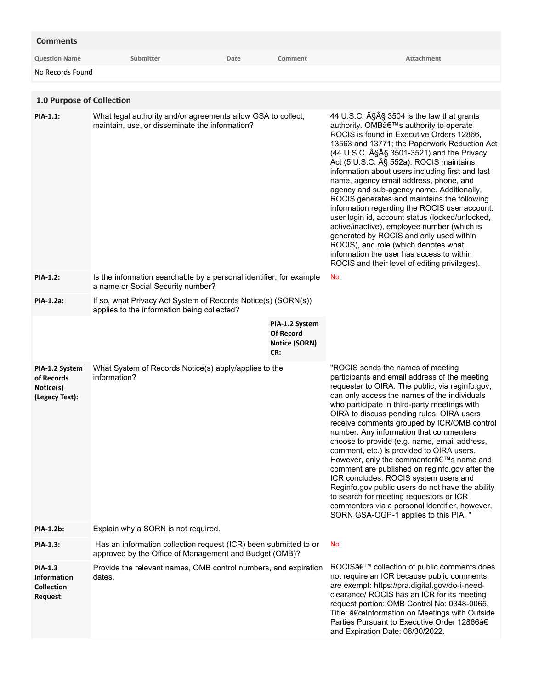| <b>Comments</b>                                                              |                                                                                                                            |      |                                                                   |                                                                                                                                                                                                                                                                                                                                                                                                                                                                                                                                                                                                                                                                                                                                                                                                          |
|------------------------------------------------------------------------------|----------------------------------------------------------------------------------------------------------------------------|------|-------------------------------------------------------------------|----------------------------------------------------------------------------------------------------------------------------------------------------------------------------------------------------------------------------------------------------------------------------------------------------------------------------------------------------------------------------------------------------------------------------------------------------------------------------------------------------------------------------------------------------------------------------------------------------------------------------------------------------------------------------------------------------------------------------------------------------------------------------------------------------------|
| <b>Question Name</b>                                                         | Submitter                                                                                                                  | Date | Comment                                                           | Attachment                                                                                                                                                                                                                                                                                                                                                                                                                                                                                                                                                                                                                                                                                                                                                                                               |
| No Records Found                                                             |                                                                                                                            |      |                                                                   |                                                                                                                                                                                                                                                                                                                                                                                                                                                                                                                                                                                                                                                                                                                                                                                                          |
|                                                                              |                                                                                                                            |      |                                                                   |                                                                                                                                                                                                                                                                                                                                                                                                                                                                                                                                                                                                                                                                                                                                                                                                          |
| 1.0 Purpose of Collection                                                    |                                                                                                                            |      |                                                                   |                                                                                                                                                                                                                                                                                                                                                                                                                                                                                                                                                                                                                                                                                                                                                                                                          |
| <b>PIA-1.1:</b>                                                              | What legal authority and/or agreements allow GSA to collect,<br>maintain, use, or disseminate the information?             |      |                                                                   | 44 U.S.C. §§ 3504 is the law that grants<br>authority. OMB's authority to operate<br>ROCIS is found in Executive Orders 12866,<br>13563 and 13771; the Paperwork Reduction Act<br>(44 U.S.C. §§ 3501-3521) and the Privacy<br>Act (5 U.S.C. § 552a). ROCIS maintains<br>information about users including first and last<br>name, agency email address, phone, and<br>agency and sub-agency name. Additionally,<br>ROCIS generates and maintains the following<br>information regarding the ROCIS user account:<br>user login id, account status (locked/unlocked,<br>active/inactive), employee number (which is<br>generated by ROCIS and only used within<br>ROCIS), and role (which denotes what<br>information the user has access to within<br>ROCIS and their level of editing privileges).       |
| <b>PIA-1.2:</b>                                                              | Is the information searchable by a personal identifier, for example<br>a name or Social Security number?                   |      |                                                                   | No                                                                                                                                                                                                                                                                                                                                                                                                                                                                                                                                                                                                                                                                                                                                                                                                       |
| <b>PIA-1.2a:</b>                                                             | If so, what Privacy Act System of Records Notice(s) (SORN(s))<br>applies to the information being collected?               |      |                                                                   |                                                                                                                                                                                                                                                                                                                                                                                                                                                                                                                                                                                                                                                                                                                                                                                                          |
|                                                                              |                                                                                                                            |      | PIA-1.2 System<br><b>Of Record</b><br><b>Notice (SORN)</b><br>CR: |                                                                                                                                                                                                                                                                                                                                                                                                                                                                                                                                                                                                                                                                                                                                                                                                          |
| PIA-1.2 System<br>of Records<br>Notice(s)<br>(Legacy Text):                  | What System of Records Notice(s) apply/applies to the<br>information?                                                      |      |                                                                   | "ROCIS sends the names of meeting<br>participants and email address of the meeting<br>requester to OIRA. The public, via reginfo.gov,<br>can only access the names of the individuals<br>who participate in third-party meetings with<br>OIRA to discuss pending rules. OIRA users<br>receive comments grouped by ICR/OMB control<br>number. Any information that commenters<br>choose to provide (e.g. name, email address,<br>comment, etc.) is provided to OIRA users.<br>However, only the commenter's name and<br>comment are published on reginfo.gov after the<br>ICR concludes. ROCIS system users and<br>Reginfo.gov public users do not have the ability<br>to search for meeting requestors or ICR<br>commenters via a personal identifier, however,<br>SORN GSA-OGP-1 applies to this PIA. " |
| <b>PIA-1.2b:</b>                                                             | Explain why a SORN is not required.                                                                                        |      |                                                                   |                                                                                                                                                                                                                                                                                                                                                                                                                                                                                                                                                                                                                                                                                                                                                                                                          |
| PIA-1.3:                                                                     | Has an information collection request (ICR) been submitted to or<br>approved by the Office of Management and Budget (OMB)? |      |                                                                   | No                                                                                                                                                                                                                                                                                                                                                                                                                                                                                                                                                                                                                                                                                                                                                                                                       |
| <b>PIA-1.3</b><br><b>Information</b><br><b>Collection</b><br><b>Request:</b> | Provide the relevant names, OMB control numbers, and expiration<br>dates.                                                  |      |                                                                   | ROCIS' collection of public comments does<br>not require an ICR because public comments<br>are exempt: https://pra.digital.gov/do-i-need-<br>clearance/ ROCIS has an ICR for its meeting<br>request portion: OMB Control No: 0348-0065,<br>Title: "Information on Meetings with Outside                                                                                                                                                                                                                                                                                                                                                                                                                                                                                                                  |

Parties Pursuant to Executive Order 12866â€

and Expiration Date: 06/30/2022.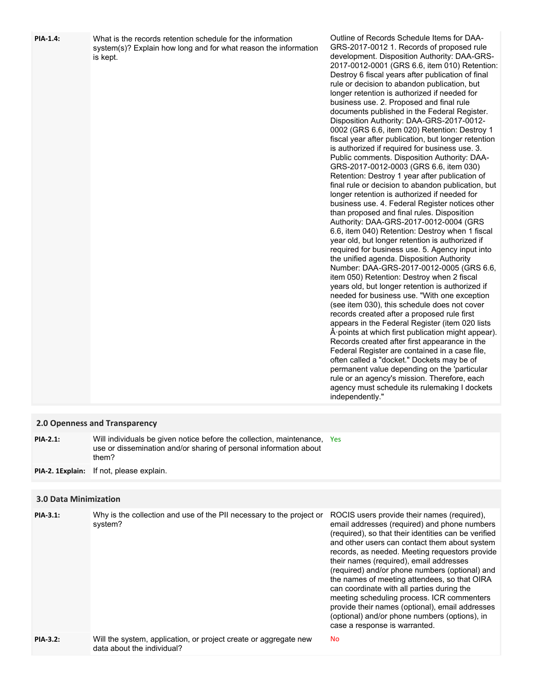| <b>PIA-1.4:</b>              | What is the records retention schedule for the information<br>system(s)? Explain how long and for what reason the information<br>is kept.              | Outline of Records Schedule Items for DAA-<br>GRS-2017-0012 1. Records of proposed rule<br>development. Disposition Authority: DAA-GRS-<br>2017-0012-0001 (GRS 6.6, item 010) Retention:<br>Destroy 6 fiscal years after publication of final<br>rule or decision to abandon publication, but<br>longer retention is authorized if needed for<br>business use. 2. Proposed and final rule<br>documents published in the Federal Register.<br>Disposition Authority: DAA-GRS-2017-0012-<br>0002 (GRS 6.6, item 020) Retention: Destroy 1<br>fiscal year after publication, but longer retention<br>is authorized if required for business use. 3.<br>Public comments. Disposition Authority: DAA-<br>GRS-2017-0012-0003 (GRS 6.6, item 030)<br>Retention: Destroy 1 year after publication of<br>final rule or decision to abandon publication, but<br>longer retention is authorized if needed for<br>business use. 4. Federal Register notices other<br>than proposed and final rules. Disposition<br>Authority: DAA-GRS-2017-0012-0004 (GRS<br>6.6, item 040) Retention: Destroy when 1 fiscal<br>year old, but longer retention is authorized if<br>required for business use. 5. Agency input into<br>the unified agenda. Disposition Authority<br>Number: DAA-GRS-2017-0012-0005 (GRS 6.6,<br>item 050) Retention: Destroy when 2 fiscal<br>years old, but longer retention is authorized if<br>needed for business use. "With one exception<br>(see item 030), this schedule does not cover<br>records created after a proposed rule first<br>appears in the Federal Register (item 020 lists<br>$\hat{A}$ points at which first publication might appear).<br>Records created after first appearance in the<br>Federal Register are contained in a case file,<br>often called a "docket." Dockets may be of<br>permanent value depending on the 'particular<br>rule or an agency's mission. Therefore, each<br>agency must schedule its rulemaking I dockets<br>independently." |
|------------------------------|--------------------------------------------------------------------------------------------------------------------------------------------------------|----------------------------------------------------------------------------------------------------------------------------------------------------------------------------------------------------------------------------------------------------------------------------------------------------------------------------------------------------------------------------------------------------------------------------------------------------------------------------------------------------------------------------------------------------------------------------------------------------------------------------------------------------------------------------------------------------------------------------------------------------------------------------------------------------------------------------------------------------------------------------------------------------------------------------------------------------------------------------------------------------------------------------------------------------------------------------------------------------------------------------------------------------------------------------------------------------------------------------------------------------------------------------------------------------------------------------------------------------------------------------------------------------------------------------------------------------------------------------------------------------------------------------------------------------------------------------------------------------------------------------------------------------------------------------------------------------------------------------------------------------------------------------------------------------------------------------------------------------------------------------------------------------------------------------------------------------------------------------------------|
|                              | 2.0 Openness and Transparency                                                                                                                          |                                                                                                                                                                                                                                                                                                                                                                                                                                                                                                                                                                                                                                                                                                                                                                                                                                                                                                                                                                                                                                                                                                                                                                                                                                                                                                                                                                                                                                                                                                                                                                                                                                                                                                                                                                                                                                                                                                                                                                                        |
| <b>PIA-2.1:</b>              | Will individuals be given notice before the collection, maintenance, Yes<br>use or dissemination and/or sharing of personal information about<br>them? |                                                                                                                                                                                                                                                                                                                                                                                                                                                                                                                                                                                                                                                                                                                                                                                                                                                                                                                                                                                                                                                                                                                                                                                                                                                                                                                                                                                                                                                                                                                                                                                                                                                                                                                                                                                                                                                                                                                                                                                        |
| PIA-2. 1Explain:             | If not, please explain.                                                                                                                                |                                                                                                                                                                                                                                                                                                                                                                                                                                                                                                                                                                                                                                                                                                                                                                                                                                                                                                                                                                                                                                                                                                                                                                                                                                                                                                                                                                                                                                                                                                                                                                                                                                                                                                                                                                                                                                                                                                                                                                                        |
| <b>3.0 Data Minimization</b> |                                                                                                                                                        |                                                                                                                                                                                                                                                                                                                                                                                                                                                                                                                                                                                                                                                                                                                                                                                                                                                                                                                                                                                                                                                                                                                                                                                                                                                                                                                                                                                                                                                                                                                                                                                                                                                                                                                                                                                                                                                                                                                                                                                        |
| PIA-3.1:                     | Why is the collection and use of the PII necessary to the project or                                                                                   | ROCIS users provide their names (required),                                                                                                                                                                                                                                                                                                                                                                                                                                                                                                                                                                                                                                                                                                                                                                                                                                                                                                                                                                                                                                                                                                                                                                                                                                                                                                                                                                                                                                                                                                                                                                                                                                                                                                                                                                                                                                                                                                                                            |
|                              | system?                                                                                                                                                | email addresses (required) and phone numbers<br>(required), so that their identities can be verified                                                                                                                                                                                                                                                                                                                                                                                                                                                                                                                                                                                                                                                                                                                                                                                                                                                                                                                                                                                                                                                                                                                                                                                                                                                                                                                                                                                                                                                                                                                                                                                                                                                                                                                                                                                                                                                                                   |

Will the system, application, or project create or aggregate new No data about the individual? **PIA-3.2:**

and other users can contact them about system records, as needed. Meeting requestors provide their names (required), email addresses (required) and/or phone numbers (optional) and the names of meeting attendees, so that OIRA can coordinate with all parties during the meeting scheduling process. ICR commenters provide their names (optional), email addresses (optional) and/or phone numbers (options), in

case a response is warranted.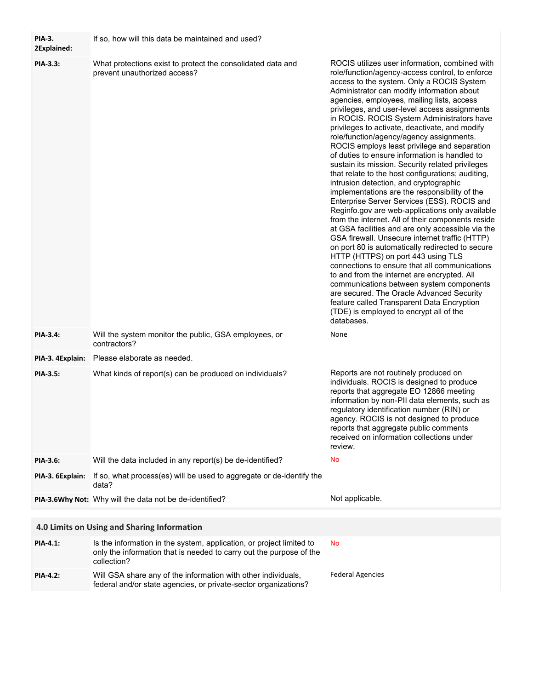| <b>PIA-3.</b><br>2Explained: | If so, how will this data be maintained and used?                                                                                                          |                                                                                                                                                                                                                                                                                                                                                                                                                                                                                                                                                                                                                                                                                                                                                                                                                                                                                                                                                                                                                                                                                                                                                                                                                                                                                                                                                                                                      |
|------------------------------|------------------------------------------------------------------------------------------------------------------------------------------------------------|------------------------------------------------------------------------------------------------------------------------------------------------------------------------------------------------------------------------------------------------------------------------------------------------------------------------------------------------------------------------------------------------------------------------------------------------------------------------------------------------------------------------------------------------------------------------------------------------------------------------------------------------------------------------------------------------------------------------------------------------------------------------------------------------------------------------------------------------------------------------------------------------------------------------------------------------------------------------------------------------------------------------------------------------------------------------------------------------------------------------------------------------------------------------------------------------------------------------------------------------------------------------------------------------------------------------------------------------------------------------------------------------------|
| PIA-3.3:                     | What protections exist to protect the consolidated data and<br>prevent unauthorized access?                                                                | ROCIS utilizes user information, combined with<br>role/function/agency-access control, to enforce<br>access to the system. Only a ROCIS System<br>Administrator can modify information about<br>agencies, employees, mailing lists, access<br>privileges, and user-level access assignments<br>in ROCIS. ROCIS System Administrators have<br>privileges to activate, deactivate, and modify<br>role/function/agency/agency assignments.<br>ROCIS employs least privilege and separation<br>of duties to ensure information is handled to<br>sustain its mission. Security related privileges<br>that relate to the host configurations; auditing,<br>intrusion detection, and cryptographic<br>implementations are the responsibility of the<br>Enterprise Server Services (ESS). ROCIS and<br>Reginfo.gov are web-applications only available<br>from the internet. All of their components reside<br>at GSA facilities and are only accessible via the<br>GSA firewall. Unsecure internet traffic (HTTP)<br>on port 80 is automatically redirected to secure<br>HTTP (HTTPS) on port 443 using TLS<br>connections to ensure that all communications<br>to and from the internet are encrypted. All<br>communications between system components<br>are secured. The Oracle Advanced Security<br>feature called Transparent Data Encryption<br>(TDE) is employed to encrypt all of the<br>databases. |
| <b>PIA-3.4:</b>              | Will the system monitor the public, GSA employees, or<br>contractors?                                                                                      | None                                                                                                                                                                                                                                                                                                                                                                                                                                                                                                                                                                                                                                                                                                                                                                                                                                                                                                                                                                                                                                                                                                                                                                                                                                                                                                                                                                                                 |
| PIA-3. 4Explain:             | Please elaborate as needed.                                                                                                                                |                                                                                                                                                                                                                                                                                                                                                                                                                                                                                                                                                                                                                                                                                                                                                                                                                                                                                                                                                                                                                                                                                                                                                                                                                                                                                                                                                                                                      |
| <b>PIA-3.5:</b>              | What kinds of report(s) can be produced on individuals?                                                                                                    | Reports are not routinely produced on<br>individuals. ROCIS is designed to produce<br>reports that aggregate EO 12866 meeting<br>information by non-PII data elements, such as<br>regulatory identification number (RIN) or<br>agency. ROCIS is not designed to produce<br>reports that aggregate public comments<br>received on information collections under<br>review.                                                                                                                                                                                                                                                                                                                                                                                                                                                                                                                                                                                                                                                                                                                                                                                                                                                                                                                                                                                                                            |
| PIA-3.6:                     | Will the data included in any report(s) be de-identified?                                                                                                  | No                                                                                                                                                                                                                                                                                                                                                                                                                                                                                                                                                                                                                                                                                                                                                                                                                                                                                                                                                                                                                                                                                                                                                                                                                                                                                                                                                                                                   |
| PIA-3. 6Explain:             | If so, what process(es) will be used to aggregate or de-identify the<br>data?                                                                              |                                                                                                                                                                                                                                                                                                                                                                                                                                                                                                                                                                                                                                                                                                                                                                                                                                                                                                                                                                                                                                                                                                                                                                                                                                                                                                                                                                                                      |
|                              | PIA-3.6Why Not: Why will the data not be de-identified?                                                                                                    | Not applicable.                                                                                                                                                                                                                                                                                                                                                                                                                                                                                                                                                                                                                                                                                                                                                                                                                                                                                                                                                                                                                                                                                                                                                                                                                                                                                                                                                                                      |
|                              |                                                                                                                                                            |                                                                                                                                                                                                                                                                                                                                                                                                                                                                                                                                                                                                                                                                                                                                                                                                                                                                                                                                                                                                                                                                                                                                                                                                                                                                                                                                                                                                      |
|                              | 4.0 Limits on Using and Sharing Information                                                                                                                |                                                                                                                                                                                                                                                                                                                                                                                                                                                                                                                                                                                                                                                                                                                                                                                                                                                                                                                                                                                                                                                                                                                                                                                                                                                                                                                                                                                                      |
| PIA-4.1:                     | Is the information in the system, application, or project limited to<br>only the information that is needed to carry out the purpose of the<br>collection? | No                                                                                                                                                                                                                                                                                                                                                                                                                                                                                                                                                                                                                                                                                                                                                                                                                                                                                                                                                                                                                                                                                                                                                                                                                                                                                                                                                                                                   |
| <b>PIA-4.2:</b>              | Will GSA share any of the information with other individuals,<br>federal and/or state agencies, or private-sector organizations?                           | <b>Federal Agencies</b>                                                                                                                                                                                                                                                                                                                                                                                                                                                                                                                                                                                                                                                                                                                                                                                                                                                                                                                                                                                                                                                                                                                                                                                                                                                                                                                                                                              |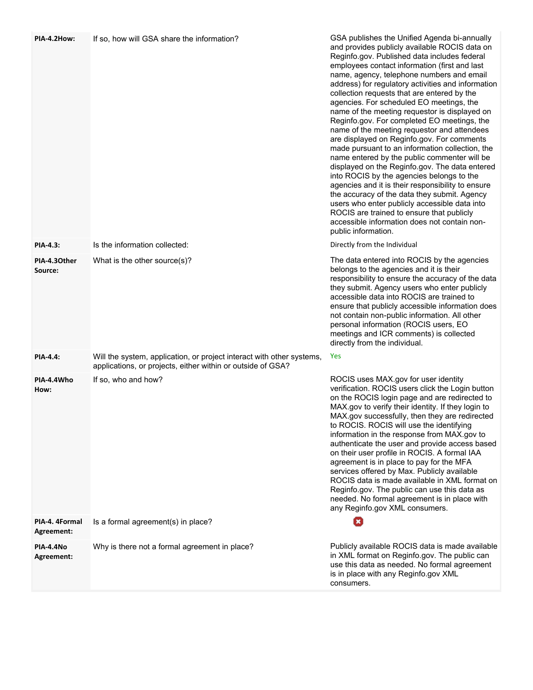| PIA-4.2How:                  | If so, how will GSA share the information?                                                                                           | GSA publishes the Unified Agenda bi-annually<br>and provides publicly available ROCIS data on<br>Reginfo.gov. Published data includes federal<br>employees contact information (first and last<br>name, agency, telephone numbers and email<br>address) for regulatory activities and information<br>collection requests that are entered by the<br>agencies. For scheduled EO meetings, the<br>name of the meeting requestor is displayed on<br>Reginfo.gov. For completed EO meetings, the<br>name of the meeting requestor and attendees<br>are displayed on Reginfo.gov. For comments<br>made pursuant to an information collection, the<br>name entered by the public commenter will be<br>displayed on the Reginfo.gov. The data entered<br>into ROCIS by the agencies belongs to the<br>agencies and it is their responsibility to ensure<br>the accuracy of the data they submit. Agency<br>users who enter publicly accessible data into<br>ROCIS are trained to ensure that publicly<br>accessible information does not contain non-<br>public information. |
|------------------------------|--------------------------------------------------------------------------------------------------------------------------------------|-----------------------------------------------------------------------------------------------------------------------------------------------------------------------------------------------------------------------------------------------------------------------------------------------------------------------------------------------------------------------------------------------------------------------------------------------------------------------------------------------------------------------------------------------------------------------------------------------------------------------------------------------------------------------------------------------------------------------------------------------------------------------------------------------------------------------------------------------------------------------------------------------------------------------------------------------------------------------------------------------------------------------------------------------------------------------|
| <b>PIA-4.3:</b>              | Is the information collected:                                                                                                        | Directly from the Individual                                                                                                                                                                                                                                                                                                                                                                                                                                                                                                                                                                                                                                                                                                                                                                                                                                                                                                                                                                                                                                          |
| PIA-4.30ther<br>Source:      | What is the other source(s)?                                                                                                         | The data entered into ROCIS by the agencies<br>belongs to the agencies and it is their<br>responsibility to ensure the accuracy of the data<br>they submit. Agency users who enter publicly<br>accessible data into ROCIS are trained to<br>ensure that publicly accessible information does<br>not contain non-public information. All other<br>personal information (ROCIS users, EO<br>meetings and ICR comments) is collected<br>directly from the individual.                                                                                                                                                                                                                                                                                                                                                                                                                                                                                                                                                                                                    |
| PIA-4.4:                     | Will the system, application, or project interact with other systems,<br>applications, or projects, either within or outside of GSA? | Yes                                                                                                                                                                                                                                                                                                                                                                                                                                                                                                                                                                                                                                                                                                                                                                                                                                                                                                                                                                                                                                                                   |
| PIA-4.4Who<br>How:           | If so, who and how?                                                                                                                  | ROCIS uses MAX.gov for user identity<br>verification. ROCIS users click the Login button<br>on the ROCIS login page and are redirected to<br>MAX.gov to verify their identity. If they login to<br>MAX.gov successfully, then they are redirected<br>to ROCIS. ROCIS will use the identifying<br>information in the response from MAX.gov to<br>authenticate the user and provide access based<br>on their user profile in ROCIS. A formal IAA<br>agreement is in place to pay for the MFA<br>services offered by Max. Publicly available<br>ROCIS data is made available in XML format on<br>Reginfo.gov. The public can use this data as<br>needed. No formal agreement is in place with<br>any Reginfo.gov XML consumers.                                                                                                                                                                                                                                                                                                                                          |
| PIA-4. 4Formal<br>Agreement: | Is a formal agreement(s) in place?                                                                                                   | П                                                                                                                                                                                                                                                                                                                                                                                                                                                                                                                                                                                                                                                                                                                                                                                                                                                                                                                                                                                                                                                                     |
| PIA-4.4No<br>Agreement:      | Why is there not a formal agreement in place?                                                                                        | Publicly available ROCIS data is made available<br>in XML format on Reginfo.gov. The public can<br>use this data as needed. No formal agreement<br>is in place with any Reginfo.gov XML<br>consumers.                                                                                                                                                                                                                                                                                                                                                                                                                                                                                                                                                                                                                                                                                                                                                                                                                                                                 |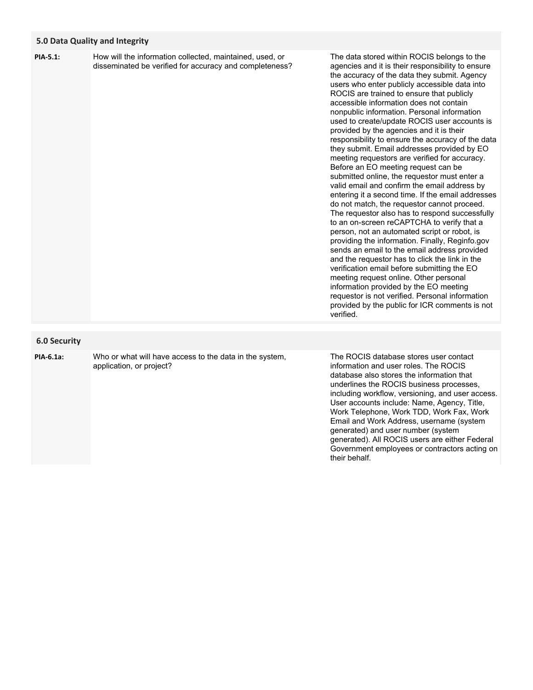### **5.0 Data Quality and Integrity**

| PIA-5.1: | How will the information collected, maintained, used, or |
|----------|----------------------------------------------------------|
|          | disseminated be verified for accuracy and completeness?  |

The data stored within ROCIS belongs to the agencies and it is their responsibility to ensure the accuracy of the data they submit. Agency users who enter publicly accessible data into ROCIS are trained to ensure that publicly accessible information does not contain nonpublic information. Personal information used to create/update ROCIS user accounts is provided by the agencies and it is their responsibility to ensure the accuracy of the data they submit. Email addresses provided by EO meeting requestors are verified for accuracy. Before an EO meeting request can be submitted online, the requestor must enter a valid email and confirm the email address by entering it a second time. If the email addresses do not match, the requestor cannot proceed. The requestor also has to respond successfully to an on-screen reCAPTCHA to verify that a person, not an automated script or robot, is providing the information. Finally, Reginfo.gov sends an email to the email address provided and the requestor has to click the link in the verification email before submitting the EO meeting request online. Other personal information provided by the EO meeting requestor is not verified. Personal information provided by the public for ICR comments is not verified.

## **6.0 Security**

**PIA-6.1a:**

Who or what will have access to the data in the system, application, or project?

The ROCIS database stores user contact information and user roles. The ROCIS database also stores the information that underlines the ROCIS business processes, including workflow, versioning, and user access. User accounts include: Name, Agency, Title, Work Telephone, Work TDD, Work Fax, Work Email and Work Address, username (system generated) and user number (system generated). All ROCIS users are either Federal Government employees or contractors acting on their behalf.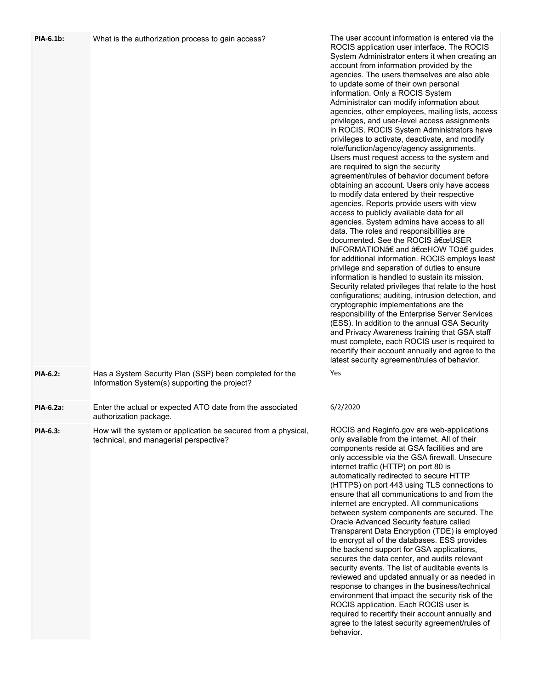| <b>PIA-6.1b:</b> | What is the authorization process to gain access?                                                        | The user account information is entered via the<br>ROCIS application user interface. The ROCIS<br>System Administrator enters it when creating an<br>account from information provided by the<br>agencies. The users themselves are also able<br>to update some of their own personal<br>information. Only a ROCIS System<br>Administrator can modify information about<br>agencies, other employees, mailing lists, access<br>privileges, and user-level access assignments<br>in ROCIS. ROCIS System Administrators have<br>privileges to activate, deactivate, and modify<br>role/function/agency/agency assignments.<br>Users must request access to the system and<br>are required to sign the security<br>agreement/rules of behavior document before<br>obtaining an account. Users only have access<br>to modify data entered by their respective<br>agencies. Reports provide users with view<br>access to publicly available data for all<br>agencies. System admins have access to all<br>data. The roles and responsibilities are<br>documented. See the ROCIS "USER<br>INFORMATION†and "HOW TO†guides<br>for additional information. ROCIS employs least<br>privilege and separation of duties to ensure<br>information is handled to sustain its mission.<br>Security related privileges that relate to the host<br>configurations; auditing, intrusion detection, and<br>cryptographic implementations are the<br>responsibility of the Enterprise Server Services<br>(ESS). In addition to the annual GSA Security<br>and Privacy Awareness training that GSA staff<br>must complete, each ROCIS user is required to<br>recertify their account annually and agree to the<br>latest security agreement/rules of behavior. |
|------------------|----------------------------------------------------------------------------------------------------------|-------------------------------------------------------------------------------------------------------------------------------------------------------------------------------------------------------------------------------------------------------------------------------------------------------------------------------------------------------------------------------------------------------------------------------------------------------------------------------------------------------------------------------------------------------------------------------------------------------------------------------------------------------------------------------------------------------------------------------------------------------------------------------------------------------------------------------------------------------------------------------------------------------------------------------------------------------------------------------------------------------------------------------------------------------------------------------------------------------------------------------------------------------------------------------------------------------------------------------------------------------------------------------------------------------------------------------------------------------------------------------------------------------------------------------------------------------------------------------------------------------------------------------------------------------------------------------------------------------------------------------------------------------------------------------------------------------------------------------------------|
| PIA-6.2:         | Has a System Security Plan (SSP) been completed for the<br>Information System(s) supporting the project? | Yes                                                                                                                                                                                                                                                                                                                                                                                                                                                                                                                                                                                                                                                                                                                                                                                                                                                                                                                                                                                                                                                                                                                                                                                                                                                                                                                                                                                                                                                                                                                                                                                                                                                                                                                                       |
| <b>PIA-6.2a:</b> | Enter the actual or expected ATO date from the associated<br>authorization package.                      | 6/2/2020                                                                                                                                                                                                                                                                                                                                                                                                                                                                                                                                                                                                                                                                                                                                                                                                                                                                                                                                                                                                                                                                                                                                                                                                                                                                                                                                                                                                                                                                                                                                                                                                                                                                                                                                  |
| PIA-6.3:         | How will the system or application be secured from a physical,<br>technical, and managerial perspective? | ROCIS and Reginfo.gov are web-applications<br>only available from the internet. All of their<br>components reside at GSA facilities and are<br>only accessible via the GSA firewall. Unsecure<br>internet traffic (HTTP) on port 80 is<br>automatically redirected to secure HTTP<br>(HTTPS) on port 443 using TLS connections to<br>ensure that all communications to and from the<br>internet are encrypted. All communications<br>between system components are secured. The<br>Oracle Advanced Security feature called<br>Transparent Data Encryption (TDE) is employed<br>to encrypt all of the databases. ESS provides<br>the backend support for GSA applications,<br>secures the data center, and audits relevant<br>security events. The list of auditable events is<br>reviewed and undated annually or as needed in                                                                                                                                                                                                                                                                                                                                                                                                                                                                                                                                                                                                                                                                                                                                                                                                                                                                                                            |

reviewed and updated annually or as needed in response to changes in the business/technical environment that impact the security risk of the ROCIS application. Each ROCIS user is required to recertify their account annually and agree to the latest security agreement/rules of

behavior.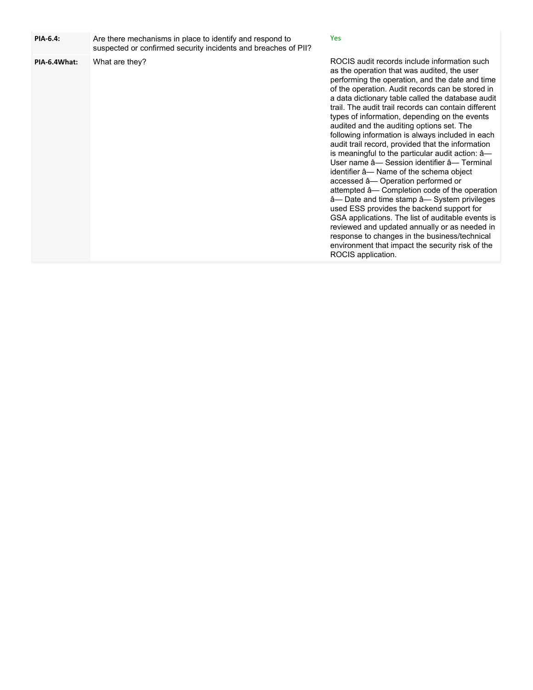| PIA-6.4:     | Are there mechanisms in place to identify and respond to<br>suspected or confirmed security incidents and breaches of PII? | Yes                                                                                                                                                                                                                                                                                                                                                                                                                                                                                                                                                                                                                                                                                                                                                                                                                                                                                                                                                                                                                                                                                     |
|--------------|----------------------------------------------------------------------------------------------------------------------------|-----------------------------------------------------------------------------------------------------------------------------------------------------------------------------------------------------------------------------------------------------------------------------------------------------------------------------------------------------------------------------------------------------------------------------------------------------------------------------------------------------------------------------------------------------------------------------------------------------------------------------------------------------------------------------------------------------------------------------------------------------------------------------------------------------------------------------------------------------------------------------------------------------------------------------------------------------------------------------------------------------------------------------------------------------------------------------------------|
| PIA-6.4What: | What are they?                                                                                                             | ROCIS audit records include information such<br>as the operation that was audited, the user<br>performing the operation, and the date and time<br>of the operation. Audit records can be stored in<br>a data dictionary table called the database audit<br>trail. The audit trail records can contain different<br>types of information, depending on the events<br>audited and the auditing options set. The<br>following information is always included in each<br>audit trail record, provided that the information<br>is meaningful to the particular audit action: â-<br>User name â- Session identifier â- Terminal<br>identifier â-Name of the schema object<br>accessed â- Operation performed or<br>attempted â- Completion code of the operation<br>â— Date and time stamp â— System privileges<br>used ESS provides the backend support for<br>GSA applications. The list of auditable events is<br>reviewed and updated annually or as needed in<br>response to changes in the business/technical<br>environment that impact the security risk of the<br>ROCIS application. |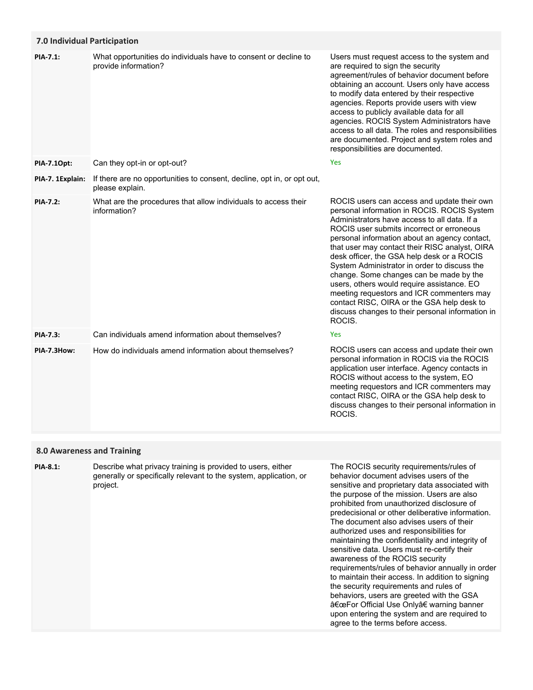## **7.0 Individual Participation**

| PIA-7.1:         | What opportunities do individuals have to consent or decline to<br>provide information?   | Users must request access to the system and<br>are required to sign the security<br>agreement/rules of behavior document before<br>obtaining an account. Users only have access<br>to modify data entered by their respective<br>agencies. Reports provide users with view<br>access to publicly available data for all<br>agencies. ROCIS System Administrators have<br>access to all data. The roles and responsibilities<br>are documented. Project and system roles and<br>responsibilities are documented.                                                                                                                            |
|------------------|-------------------------------------------------------------------------------------------|--------------------------------------------------------------------------------------------------------------------------------------------------------------------------------------------------------------------------------------------------------------------------------------------------------------------------------------------------------------------------------------------------------------------------------------------------------------------------------------------------------------------------------------------------------------------------------------------------------------------------------------------|
| PIA-7.10pt:      | Can they opt-in or opt-out?                                                               | <b>Yes</b>                                                                                                                                                                                                                                                                                                                                                                                                                                                                                                                                                                                                                                 |
| PIA-7. 1Explain: | If there are no opportunities to consent, decline, opt in, or opt out,<br>please explain. |                                                                                                                                                                                                                                                                                                                                                                                                                                                                                                                                                                                                                                            |
| <b>PIA-7.2:</b>  | What are the procedures that allow individuals to access their<br>information?            | ROCIS users can access and update their own<br>personal information in ROCIS. ROCIS System<br>Administrators have access to all data. If a<br>ROCIS user submits incorrect or erroneous<br>personal information about an agency contact,<br>that user may contact their RISC analyst, OIRA<br>desk officer, the GSA help desk or a ROCIS<br>System Administrator in order to discuss the<br>change. Some changes can be made by the<br>users, others would require assistance. EO<br>meeting requestors and ICR commenters may<br>contact RISC, OIRA or the GSA help desk to<br>discuss changes to their personal information in<br>ROCIS. |
| PIA-7.3:         | Can individuals amend information about themselves?                                       | <b>Yes</b>                                                                                                                                                                                                                                                                                                                                                                                                                                                                                                                                                                                                                                 |
| PIA-7.3How:      | How do individuals amend information about themselves?                                    | ROCIS users can access and update their own<br>personal information in ROCIS via the ROCIS<br>application user interface. Agency contacts in<br>ROCIS without access to the system, EO<br>meeting requestors and ICR commenters may<br>contact RISC, OIRA or the GSA help desk to<br>discuss changes to their personal information in<br>ROCIS.                                                                                                                                                                                                                                                                                            |

# **8.0 Awareness and Training**

Describe what privacy training is provided to users, either generally or specifically relevant to the system, application, or project. **PIA-8.1:**

The ROCIS security requirements/rules of behavior document advises users of the sensitive and proprietary data associated with the purpose of the mission. Users are also prohibited from unauthorized disclosure of predecisional or other deliberative information. The document also advises users of their authorized uses and responsibilities for maintaining the confidentiality and integrity of sensitive data. Users must re-certify their awareness of the ROCIS security requirements/rules of behavior annually in order to maintain their access. In addition to signing the security requirements and rules of behaviors, users are greeted with the GSA "For Official Use Only†warning banner upon entering the system and are required to agree to the terms before access.